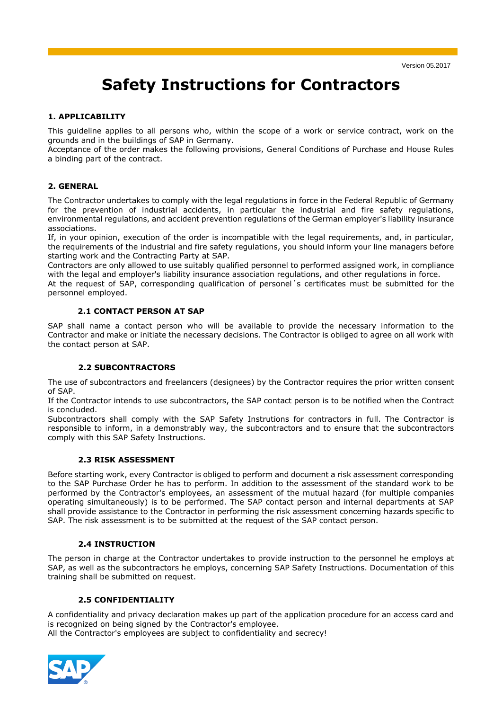# **Safety Instructions for Contractors**

#### **1. APPLICABILITY**

This guideline applies to all persons who, within the scope of a work or service contract, work on the grounds and in the buildings of SAP in Germany.

Acceptance of the order makes the following provisions, General Conditions of Purchase and House Rules a binding part of the contract.

#### **2. GENERAL**

The Contractor undertakes to comply with the legal regulations in force in the Federal Republic of Germany for the prevention of industrial accidents, in particular the industrial and fire safety regulations, environmental regulations, and accident prevention regulations of the German employer's liability insurance associations.

If, in your opinion, execution of the order is incompatible with the legal requirements, and, in particular, the requirements of the industrial and fire safety regulations, you should inform your line managers before starting work and the Contracting Party at SAP.

Contractors are only allowed to use suitably qualified personnel to performed assigned work, in compliance with the legal and employer's liability insurance association regulations, and other regulations in force.

At the request of SAP, corresponding qualification of personel´s certificates must be submitted for the personnel employed.

#### **2.1 CONTACT PERSON AT SAP**

SAP shall name a contact person who will be available to provide the necessary information to the Contractor and make or initiate the necessary decisions. The Contractor is obliged to agree on all work with the contact person at SAP.

#### **2.2 SUBCONTRACTORS**

The use of subcontractors and freelancers (designees) by the Contractor requires the prior written consent of SAP.

If the Contractor intends to use subcontractors, the SAP contact person is to be notified when the Contract is concluded.

Subcontractors shall comply with the SAP Safety Instrutions for contractors in full. The Contractor is responsible to inform, in a demonstrably way, the subcontractors and to ensure that the subcontractors comply with this SAP Safety Instructions.

#### **2.3 RISK ASSESSMENT**

Before starting work, every Contractor is obliged to perform and document a risk assessment corresponding to the SAP Purchase Order he has to perform. In addition to the assessment of the standard work to be performed by the Contractor's employees, an assessment of the mutual hazard (for multiple companies operating simultaneously) is to be performed. The SAP contact person and internal departments at SAP shall provide assistance to the Contractor in performing the risk assessment concerning hazards specific to SAP. The risk assessment is to be submitted at the request of the SAP contact person.

#### **2.4 INSTRUCTION**

The person in charge at the Contractor undertakes to provide instruction to the personnel he employs at SAP, as well as the subcontractors he employs, concerning SAP Safety Instructions. Documentation of this training shall be submitted on request.

#### **2.5 CONFIDENTIALITY**

A confidentiality and privacy declaration makes up part of the application procedure for an access card and is recognized on being signed by the Contractor's employee.

All the Contractor's employees are subject to confidentiality and secrecy!

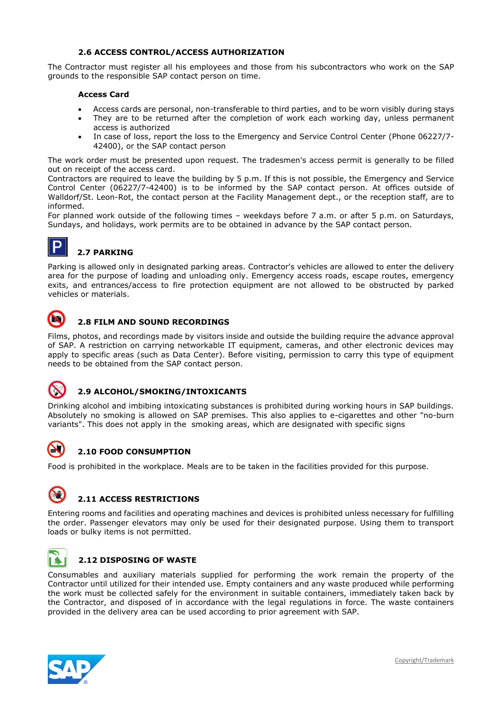#### **2.6 ACCESS CONTROL/ACCESS AUTHORIZATION**

The Contractor must register all his employees and those from his subcontractors who work on the SAP grounds to the responsible SAP contact person on time.

#### **Access Card**

- Access cards are personal, non-transferable to third parties, and to be worn visibly during stays
- They are to be returned after the completion of work each working day, unless permanent access is authorized
- In case of loss, report the loss to the Emergency and Service Control Center (Phone 06227/7- 42400), or the SAP contact person

The work order must be presented upon request. The tradesmen's access permit is generally to be filled out on receipt of the access card.

Contractors are required to leave the building by 5 p.m. If this is not possible, the Emergency and Service Control Center (06227/7-42400) is to be informed by the SAP contact person. At offices outside of Walldorf/St. Leon-Rot, the contact person at the Facility Management dept., or the reception staff, are to informed.

For planned work outside of the following times – weekdays before 7 a.m. or after 5 p.m. on Saturdays, Sundays, and holidays, work permits are to be obtained in advance by the SAP contact person.

# **2.7 PARKING**

Parking is allowed only in designated parking areas. Contractor's vehicles are allowed to enter the delivery area for the purpose of loading and unloading only. Emergency access roads, escape routes, emergency exits, and entrances/access to fire protection equipment are not allowed to be obstructed by parked vehicles or materials.



# **2.8 FILM AND SOUND RECORDINGS**

Films, photos, and recordings made by visitors inside and outside the building require the advance approval of SAP. A restriction on carrying networkable IT equipment, cameras, and other electronic devices may apply to specific areas (such as Data Center). Before visiting, permission to carry this type of equipment needs to be obtained from the SAP contact person.



#### **2.9 ALCOHOL/SMOKING/INTOXICANTS**

Drinking alcohol and imbibing intoxicating substances is prohibited during working hours in SAP buildings. Absolutely no smoking is allowed on SAP premises. This also applies to e-cigarettes and other "no-burn variants". This does not apply in the smoking areas, which are designated with specific signs



# **2.10 FOOD CONSUMPTION**

Food is prohibited in the workplace. Meals are to be taken in the facilities provided for this purpose.



### **2.11 ACCESS RESTRICTIONS**

Entering rooms and facilities and operating machines and devices is prohibited unless necessary for fulfilling the order. Passenger elevators may only be used for their designated purpose. Using them to transport loads or bulky items is not permitted.



### **2.12 DISPOSING OF WASTE**

Consumables and auxiliary materials supplied for performing the work remain the property of the Contractor until utilized for their intended use. Empty containers and any waste produced while performing the work must be collected safely for the environment in suitable containers, immediately taken back by the Contractor, and disposed of in accordance with the legal regulations in force. The waste containers provided in the delivery area can be used according to prior agreement with SAP.

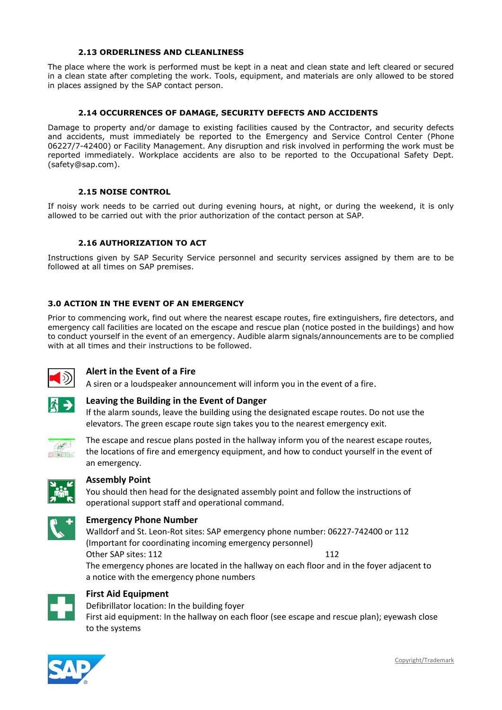#### **2.13 ORDERLINESS AND CLEANLINESS**

The place where the work is performed must be kept in a neat and clean state and left cleared or secured in a clean state after completing the work. Tools, equipment, and materials are only allowed to be stored in places assigned by the SAP contact person.

#### **2.14 OCCURRENCES OF DAMAGE, SECURITY DEFECTS AND ACCIDENTS**

Damage to property and/or damage to existing facilities caused by the Contractor, and security defects and accidents, must immediately be reported to the Emergency and Service Control Center (Phone 06227/7-42400) or Facility Management. Any disruption and risk involved in performing the work must be reported immediately. Workplace accidents are also to be reported to the Occupational Safety Dept. [\(safety@sap.com\)](mailto:safety@sap.com).

#### **2.15 NOISE CONTROL**

If noisy work needs to be carried out during evening hours, at night, or during the weekend, it is only allowed to be carried out with the prior authorization of the contact person at SAP.

#### **2.16 AUTHORIZATION TO ACT**

Instructions given by SAP Security Service personnel and security services assigned by them are to be followed at all times on SAP premises.

#### **3.0 ACTION IN THE EVENT OF AN EMERGENCY**

Prior to commencing work, find out where the nearest escape routes, fire extinguishers, fire detectors, and emergency call facilities are located on the escape and rescue plan (notice posted in the buildings) and how to conduct yourself in the event of an emergency. Audible alarm signals/announcements are to be complied with at all times and their instructions to be followed.



#### **Alert in the Event of a Fire**

A siren or a loudspeaker announcement will inform you in the event of a fire.



#### **Leaving the Building in the Event of Danger**

If the alarm sounds, leave the building using the designated escape routes. Do not use the elevators. The green escape route sign takes you to the nearest emergency exit.



The escape and rescue plans posted in the hallway inform you of the nearest escape routes, the locations of fire and emergency equipment, and how to conduct yourself in the event of an emergency.



#### **Assembly Point**

You should then head for the designated assembly point and follow the instructions of operational support staff and operational command.



#### **Emergency Phone Number**

Walldorf and St. Leon-Rot sites: SAP emergency phone number: 06227-742400 or 112 (Important for coordinating incoming emergency personnel) Other SAP sites: 112 112 The emergency phones are located in the hallway on each floor and in the foyer adjacent to a notice with the emergency phone numbers



## **First Aid Equipment**

Defibrillator location: In the building foyer First aid equipment: In the hallway on each floor (see escape and rescue plan); eyewash close to the systems

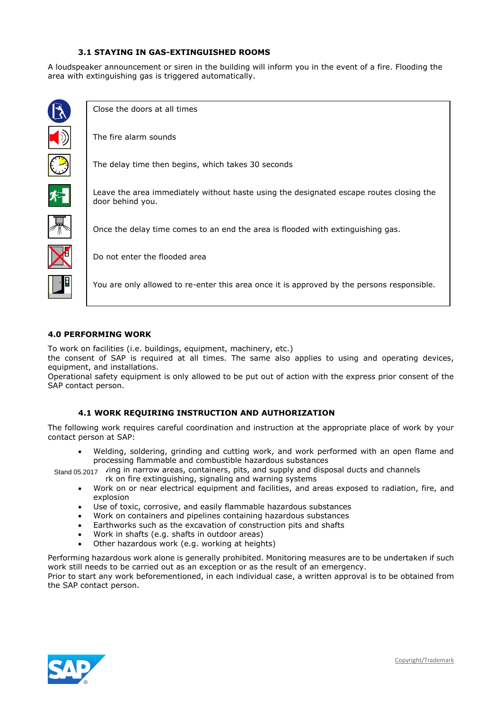#### **3.1 STAYING IN GAS-EXTINGUISHED ROOMS**

A loudspeaker announcement or siren in the building will inform you in the event of a fire. Flooding the area with extinguishing gas is triggered automatically.



Close the doors at all times

The fire alarm sounds



The delay time then begins, which takes 30 seconds



Leave the area immediately without haste using the designated escape routes closing the door behind you.



Once the delay time comes to an end the area is flooded with extinguishing gas.



Do not enter the flooded area

You are only allowed to re-enter this area once it is approved by the persons responsible.

#### **4.0 PERFORMING WORK**

To work on facilities (i.e. buildings, equipment, machinery, etc.)

the consent of SAP is required at all times. The same also applies to using and operating devices, equipment, and installations.

Operational safety equipment is only allowed to be put out of action with the express prior consent of the SAP contact person.

#### **4.1 WORK REQUIRING INSTRUCTION AND AUTHORIZATION**

The following work requires careful coordination and instruction at the appropriate place of work by your contact person at SAP:

- Welding, soldering, grinding and cutting work, and work performed with an open flame and processing flammable and combustible hazardous substances
- Stand 05.2017 ving in narrow areas, containers, pits, and supply and disposal ducts and channels
	- rk on fire extinguishing, signaling and warning systems
	- Work on or near electrical equipment and facilities, and areas exposed to radiation, fire, and explosion
	- Use of toxic, corrosive, and easily flammable hazardous substances
	- Work on containers and pipelines containing hazardous substances
	- Earthworks such as the excavation of construction pits and shafts
	- Work in shafts (e.g. shafts in outdoor areas)
	- Other hazardous work (e.g. working at heights)

Performing hazardous work alone is generally prohibited. Monitoring measures are to be undertaken if such work still needs to be carried out as an exception or as the result of an emergency.

Prior to start any work beforementioned, in each individual case, a written approval is to be obtained from the SAP contact person.

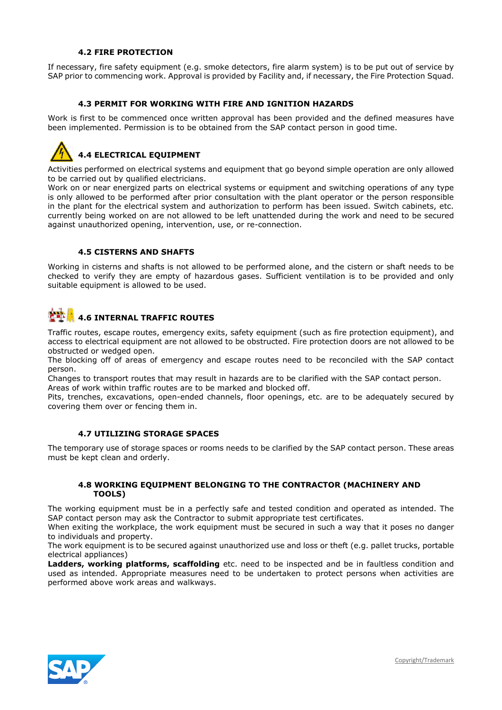#### **4.2 FIRE PROTECTION**

If necessary, fire safety equipment (e.g. smoke detectors, fire alarm system) is to be put out of service by SAP prior to commencing work. Approval is provided by Facility and, if necessary, the Fire Protection Squad.

#### **4.3 PERMIT FOR WORKING WITH FIRE AND IGNITION HAZARDS**

Work is first to be commenced once written approval has been provided and the defined measures have been implemented. Permission is to be obtained from the SAP contact person in good time.



Activities performed on electrical systems and equipment that go beyond simple operation are only allowed to be carried out by qualified electricians.

Work on or near energized parts on electrical systems or equipment and switching operations of any type is only allowed to be performed after prior consultation with the plant operator or the person responsible in the plant for the electrical system and authorization to perform has been issued. Switch cabinets, etc. currently being worked on are not allowed to be left unattended during the work and need to be secured against unauthorized opening, intervention, use, or re-connection.

#### **4.5 CISTERNS AND SHAFTS**

Working in cisterns and shafts is not allowed to be performed alone, and the cistern or shaft needs to be checked to verify they are empty of hazardous gases. Sufficient ventilation is to be provided and only suitable equipment is allowed to be used.

# **4.6 INTERNAL TRAFFIC ROUTES**

Traffic routes, escape routes, emergency exits, safety equipment (such as fire protection equipment), and access to electrical equipment are not allowed to be obstructed. Fire protection doors are not allowed to be obstructed or wedged open.

The blocking off of areas of emergency and escape routes need to be reconciled with the SAP contact person.

Changes to transport routes that may result in hazards are to be clarified with the SAP contact person. Areas of work within traffic routes are to be marked and blocked off.

Pits, trenches, excavations, open-ended channels, floor openings, etc. are to be adequately secured by covering them over or fencing them in.

#### **4.7 UTILIZING STORAGE SPACES**

The temporary use of storage spaces or rooms needs to be clarified by the SAP contact person. These areas must be kept clean and orderly.

#### **4.8 WORKING EQUIPMENT BELONGING TO THE CONTRACTOR (MACHINERY AND TOOLS)**

The working equipment must be in a perfectly safe and tested condition and operated as intended. The SAP contact person may ask the Contractor to submit appropriate test certificates.

When exiting the workplace, the work equipment must be secured in such a way that it poses no danger to individuals and property.

The work equipment is to be secured against unauthorized use and loss or theft (e.g. pallet trucks, portable electrical appliances)

**Ladders, working platforms, scaffolding** etc. need to be inspected and be in faultless condition and used as intended. Appropriate measures need to be undertaken to protect persons when activities are performed above work areas and walkways.